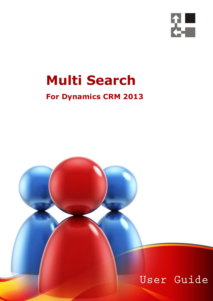

# **Multi Search**

## **For Dynamics CRM 2013**

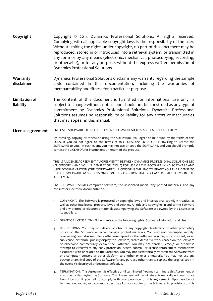- **Copyright** Copyright © 2014 Dynamics Professional Solutions. All rights reserved. Complying with all applicable copyright laws is the responsibility of the user. Without limiting the rights under copyright, no part of this document may be reproduced, stored in or introduced into a retrieval system, or transmitted in any form or by any means (electronic, mechanical, photocopying, recording, or otherwise), or for any purpose, without the express written permission of Dynamics Professional Solutions.
- **Warranty disclaimer** Dynamics Professional Solutions disclaims any warranty regarding the sample code contained in this documentation, including the warranties of merchantability and fitness for a particular purpose
- **Limitation of liability** The content of this document is furnished for informational use only, is subject to change without notice, and should not be construed as any type of commitment by Dynamics Professional Solutions. Dynamics Professional Solutions assumes no responsibility or liability for any errors or inaccuracies that may appear in this manual.

#### **License agreement** END USER SOFTWARE LICENSE AGREEMENT - PLEASE READ THIS AGREEMENT CAREFULLY

By installing, copying or otherwise using the SOFTWARE, you agree to be bound by the terms of this EULA. If you do not agree to the terms of this EULA, the LICENSOR is unwilling to license the SOFTWARE to you. In such event, you may not use or copy the SOFTWARE, and you should promptly contact the LICENSOR for instructions on return of the product.

THIS IS A LICENSE AGREEMENT ("AGREEMENT") BETWEEN DYNAMICS PROFESSIONAL SOLUTIONS LTD ("LICENSOR"), AND YOU ("LICENSEE" OR "YOU") FOR USE OF THE ACCOMPANYING SOFTWARE AND USER DOCUMENTATION (THE "SOFTWARE"). LICENSOR IS WILLING TO GRANT YOU THE LICENSE TO USE THE SOFTWARE ACCORDING ONLY ON THE CONDITION THAT YOU ACCEPTS ALL TERMS IN THIS AGREEMENT.

The SOFTWARE includes computer software, the associated media, any printed materials, and any "online" or electronic documentation.

- 1. COPYRIGHT. The Software is protected by copyright laws and international copyright treaties, as well as other intellectual property laws and treaties. All title and copyrights in and to the Software and any printed or electronic materials accompanying the Software are owned by the Licensor or its suppliers.
- 2. GRANT OF LICENSE. This EULA grants you the following rights: Software Installation and Use.
- 3. RESTRICTIONS. You may not delete or obscure any copyright, trademark or other proprietary notice on the Software or accompanying printed materials. You may not decompile, modify, reverse engineer, disassemble or otherwise reproduce the Software. You may not copy, rent, lease, sublicense, distribute, publicly display the Software, create derivative works based on the Software or otherwise commercially exploit the Software. You may not "hack," "crack," or otherwise attempt to circumvent any copy protection, access control, or license-enforcement mechanisms associated with or related to the Software. You may not electronically transmit the Software from one computer, console or other platform to another or over a network. You may not use any backup or archival copy of the Software for any purpose other than to replace the original copy in the event it's destroyed or becomes defective.
- 4. TERMINATION. This Agreement is effective until terminated. You may terminate this Agreement at any time by destroying the Software. This Agreement will terminate automatically without notice from Licensor if you fail to comply with any provision of this Agreement. Upon notice of termination, you agree to promptly destroy all of your copies of the Software. All provisions of this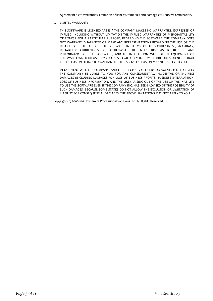Agreement as to warranties, limitation of liability, remedies and damages will survive termination.

5. LIMITED WARRANTY

THIS SOFTWARE IS LICENSED "AS IS." THE COMPANY MAKES NO WARRANTIES, EXPRESSED OR IMPLIED, INCLUDING WITHOUT LIMITATION THE IMPLIED WARRANTIES OF MERCHANTABILITY OF FITNESS FOR A PARTICULAR PURPOSE, REGARDING THE SOFTWARE. THE COMPANY DOES NOT WARRANT, GUARANTEE OR MAKE ANY REPRESENTATIONS REGARDING THE USE OR THE RESULTS OF THE USE OF THE SOFTWARE IN TERMS OF ITS CORRECTNESS, ACCURACY, RELIABILITY, CURRENTNESS OR OTHERWISE. THE ENTIRE RISK AS TO RESULTS AND PERFORMANCE OF THE SOFTWARE, AND ITS INTERACTION WITH OTHER EQUIPMENT OR SOFTWARE OWNED OR USED BY YOU, IS ASSUMED BY YOU. SOME TERRITORIES DO NOT PERMIT THE EXCLUSION OF IMPLIED WARRANTIES. THE ABOVE EXCLUSION MAY NOT APPLY TO YOU.

IN NO EVENT WILL THE COMPANY, AND ITS DIRECTORS, OFFICERS OR AGENTS (COLLECTIVELY THE COMPANY) BE LIABLE TO YOU FOR ANY CONSEQUENTIAL, INCIDENTAL OR INDIRECT DAMAGES (INCLUDING DAMAGES FOR LOSS OF BUSINESS PROFITS, BUSINESS INTERRUPTION, LOSS OF BUSINESS INFORMATION, AND THE LIKE) ARISING OUT OF THE USE OR THE INABILITY TO USE THE SOFTWARE EVEN IF THE COMPANY INC. HAS BEEN ADVISED OF THE POSSIBILITY OF SUCH DAMAGES. BECAUSE SOME STATES DO NOT ALLOW THE EXCLUSION OR LIMITATION OF LIABILITY FOR CONSEQUENTIAL DAMAGES, THE ABOVE LIMITATIONS MAY NOT APPLY TO YOU.

Copyright (c) 2006-2014 Dynamics Professional Solutions Ltd. All Rights Reserved.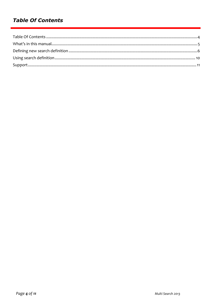## **Table Of Contents**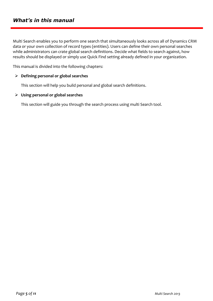Multi Search enables you to perform one search that simultaneously looks across all of Dynamics CRM data or your own collection of record types (entities). Users can define their own personal searches while administrators can crate global search definitions. Decide what fields to search against, how results should be displayed or simply use Quick Find setting already defined in your organization.

This manual is divided into the following chapters:

### **Defining personal or global searches**

This section will help you build personal and global search definitions.

#### **Using personal or global searches**

This section will guide you through the search process using multi Search tool.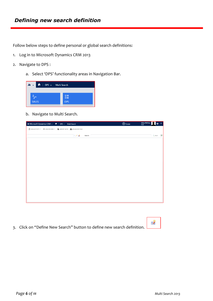Follow below steps to define personal or global search definitions:

- 1. Log in to Microsoft Dynamics CRM 2013
- 2. Navigate to DPS :
	- a. Select 'DPS' functionality areas in Navigation Bar.

|              | My v n   DPS v Multi Search |
|--------------|-----------------------------|
|              |                             |
|              |                             |
| <b>SALES</b> | <b>DPS</b>                  |
|              |                             |

b. Navigate to Multi Search.

| Au Microsoft Dynamics CRM v + +   DPS v Multi Search                                                             | $\bigoplus$ Create | <b>Adam McAma</b><br>First |                    | $\bullet$ ? |
|------------------------------------------------------------------------------------------------------------------|--------------------|----------------------------|--------------------|-------------|
| $2$ NEW ACTIVITY $\rightarrow$ $+$ NEW RECORD $\rightarrow$ $\rightarrow$ MPORT DATA $\rightarrow$ ADVANCED FIND |                    |                            |                    |             |
| $\sim$ $\sim$ $\frac{3}{20}$<br>Search:                                                                          |                    |                            | Start <sub>D</sub> |             |
|                                                                                                                  |                    |                            |                    |             |
|                                                                                                                  |                    |                            |                    |             |
|                                                                                                                  |                    |                            |                    |             |
|                                                                                                                  |                    |                            |                    |             |
|                                                                                                                  |                    |                            |                    |             |
|                                                                                                                  |                    |                            |                    |             |
|                                                                                                                  |                    |                            |                    |             |
|                                                                                                                  |                    |                            |                    |             |
|                                                                                                                  |                    |                            |                    |             |
|                                                                                                                  |                    |                            |                    |             |
|                                                                                                                  |                    |                            |                    |             |
|                                                                                                                  |                    |                            |                    |             |
|                                                                                                                  |                    |                            |                    |             |
|                                                                                                                  |                    |                            |                    |             |

3. Click on "Define New Search" button to define new search definition.

EŻ,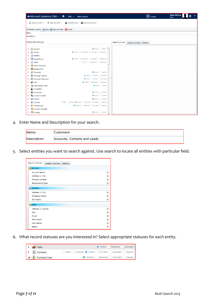

4. Enter Name and Description for your search.

| Name:        | Customers                    |
|--------------|------------------------------|
| Description: | Accounts, Contacts and Leads |

5. Select entities you want to search against. Use search to locate all entities with particular field.

| Search columns           | Display columns | Options |  |
|--------------------------|-----------------|---------|--|
| Account<br>吗             |                 |         |  |
| <b>Account Name</b>      |                 | ×       |  |
| Address 1: City          |                 | ×       |  |
| <b>Primary Contact</b>   |                 | ×       |  |
| <b>Relationship Type</b> |                 | ×       |  |
| <b>§</b> Contact         |                 |         |  |
| Address 1: City          |                 | ×       |  |
| <b>Company Name</b>      |                 | ×       |  |
| <b>Full Name</b>         |                 | ×       |  |
| <b>O</b> Lead            |                 |         |  |
| Address 1: County        |                 | ×       |  |
| City                     |                 | ×       |  |
| Email                    |                 | ×       |  |
| <b>First Name</b>        |                 | ×       |  |
| <b>Last Name</b>         |                 | ×       |  |
| Name                     |                 | ×       |  |

6. What record statuses are you interested in? Select appropriate statuses for each entity.

| $\blacktriangleright$ $\blacksquare$ Case                                             | Active Resolved Canceled                                 |
|---------------------------------------------------------------------------------------|----------------------------------------------------------|
| $\blacktriangleright$ $\bullet$ Contract                                              | Draft   Invoiced   Active   On Hold   Canceled   Expired |
| $\left  \begin{array}{ccc} \mathbf{A} & \mathbf{B} \end{array} \right $ Contract Line | Existing Renewed Canceled Expired                        |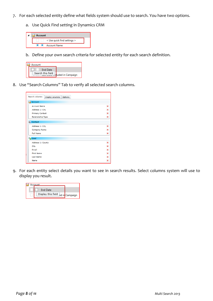- 7. For each selected entity define what fields system should use to search. You have two options.
	- a. Use Quick Find setting in Dynamics CRM



b. Define your own search criteria for selected entity for each search definition.



8. Use "Search Columns" Tab to verify all selected search columns.

| Search columns           | Display columns | Options |
|--------------------------|-----------------|---------|
| Account<br>œ             |                 |         |
| <b>Account Name</b>      |                 | ×       |
| Address 1: City          |                 | ×       |
| <b>Primary Contact</b>   |                 | ×       |
| <b>Relationship Type</b> |                 | ×       |
| <b>S</b> Contact         |                 |         |
| Address 1: City          |                 | ×       |
| Company Name             |                 | ×       |
| <b>Full Name</b>         |                 | ×       |
| Lead<br><b>PO</b>        |                 |         |
| Address 1: County        |                 | ×       |
| City                     |                 | ×       |
| <b>Email</b>             |                 | ×       |
| <b>First Name</b>        |                 | ×       |
| <b>Last Name</b>         |                 | ×       |
| Name                     |                 | ×       |

9. For each entity select details you want to see in search results. Select columns system will use to display you result.

| ccount                            |
|-----------------------------------|
| <b>End Date</b>                   |
| Display this field ed in Campaign |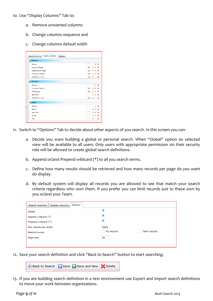- 10. Use "Display Columns" Tab to:
	- a. Remove unwanted columns
	- b. Change columns sequence and
	- c. Change columns default width

| Display columns<br>Search columns<br><b>Options</b> |                                                         |
|-----------------------------------------------------|---------------------------------------------------------|
|                                                     |                                                         |
| Account                                             |                                                         |
| Owner                                               | $\ddot{\phantom{1}}$<br>$\mathbf x$<br>$\blacktriangle$ |
| <b>Account Name</b>                                 | $+1$<br>$\mathbf x$<br>350                              |
| <b>Relationship Type</b>                            | $2 - 4$<br>$\mathbf x$<br>150                           |
| <b>Primary Contact</b>                              | $+1$<br>$\mathbf x$<br>300                              |
| Address 1: City                                     | 全步<br>$\pmb{\times}$<br>150                             |
| <b>SE</b> Contact                                   |                                                         |
| Owner                                               | $\overline{a}$<br>香<br>$\boldsymbol{\mathsf{x}}$        |
| Company Name                                        | $\bullet$<br>×<br>٠<br>300                              |
| <b>Full Name</b>                                    | $+1$<br>$\mathbf{x}$<br>300                             |
| <b>Job Title</b>                                    | $\bullet$<br><b>I</b><br>$\mathbf x$                    |
| Address 1: City                                     | 全步<br>×<br>200                                          |
| <b>D</b> Lead                                       |                                                         |
| Owner                                               | <b>J</b><br>×<br>Æ                                      |
| Name                                                | <b>I</b><br>×<br>全                                      |
| <b>Job Title</b>                                    | $+1$<br>$\mathbf x$                                     |
| Email                                               | ÷<br>$\boldsymbol{\times}$<br>٠                         |
| City                                                | $\pmb{\times}$<br>٠<br><b>I</b>                         |
|                                                     |                                                         |

- 11. Switch to "Options" Tab to decide about other aspects of you search. In this screen you can:
	- a. Decide you ware building a global or personal search. When "Global" option sis selected view will be available to all users. Only users with appropriate permission sin their security role will be allowed to create global search definitions.
	- b. Append or/and Prepend wildcard (\*) to all you search terms.
	- c. Define how many results should be retrieved and how many records per page do you want do display.
	- d. By default system will display all records you are allowed to see that match your search criteria regardless who own them. If you prefer you can limit records just to these own by you or/and your Team.

| Options<br>Search columns<br>Display columns |                                  |
|----------------------------------------------|----------------------------------|
| Global                                       | Ξ                                |
| Append wildcard (*)                          | Ξ                                |
| Prepend wildcard (*)                         | □                                |
| Max results per entity                       | 9999                             |
| <b>Restrict owner</b>                        | Team records<br>My records<br>×. |
| Page size                                    | 50                               |
|                                              |                                  |

12. Save your search definition and click "Back to Search" button to start searching.

Back to Search | Save G Save and New X Delete

13. If you are building search definition in a test environment use Export and Import search definitions to move your work between organizations.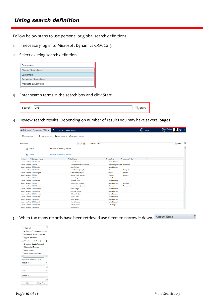## *Using search definition*

Follow below steps to use personal or global search definitions:

- 1. If necessary log in to Microsoft Dynamics CRM 2013
- 2. Select existing search definition.

| Customers                |  |
|--------------------------|--|
| <b>Global Searches</b>   |  |
| Customers                |  |
| <b>Personal Searches</b> |  |
| Products & Services      |  |

3. Enter search terms in the search box and click Start

| Cancell | <b>SDC</b> |  |
|---------|------------|--|
|         |            |  |

4. Review search results. Depending on number of results you may have several pages

| <b>M</b> Microsoft Dynamics CRM $\sim$<br>Ħ.<br>$DPS \sim$                      | <b>Multi Search</b>                 |                                                            | $\bigoplus$ Create      | <b>Adam McAma</b><br>n<br><b>First</b> |
|---------------------------------------------------------------------------------|-------------------------------------|------------------------------------------------------------|-------------------------|----------------------------------------|
| <b>A</b> NEW ACTIVITY ▼<br>$+$ NEW RECORD $+$<br><b>MPORT DATA</b>              | ADVANCED FIND                       |                                                            |                         |                                        |
| Customers                                                                       | $\sim$ $\sim$ $\sim$<br>Search: DPS |                                                            |                         | <b>Q</b> Start<br>$\overline{r}$       |
| Found all 14 matching records<br>Account<br>$\mathbf{v}$                        |                                     |                                                            |                         |                                        |
| Found all 18 matching records<br><b>8</b> Contact<br>$\left( \mathbf{A}\right)$ |                                     |                                                            |                         |                                        |
| ▼ Company Name<br>Owner                                                         | <b>T</b> Full Name                  | $\overline{r}$ Job Title<br>$\overline{V}$ Address 1: City | $\overline{\mathbf{Y}}$ |                                        |
| Adam McAma DPS Poland                                                           | Adam Rosowski                       | <b>Head of Sales</b>                                       |                         |                                        |
| Adam McAma DPS UK                                                               | Adrian Dumitrascu (sample)          | Purchasing Assistant Redmond                               |                         |                                        |
| Adam McAma DPS London                                                           | Alan Triplan                        | <b>Sales Director</b>                                      |                         |                                        |
| Adam McAma DPS London                                                           | Brain LaMee (sample)                | Owner<br>Issaquah                                          |                         |                                        |
| Adam McAma DPS Glasgow                                                          | Cat Francis (sample)                | Duvall<br>Owner                                            |                         |                                        |
| Adam McAma DPS UK                                                               | Cathan Cook (sample)                | Monroe<br>Manager                                          |                         |                                        |
| Adam McAma DPS Accra                                                            | Edem Kanyeku                        | <b>Sales Director</b>                                      |                         |                                        |
| Adam McAma DPS Poland                                                           | <b>Fleonora Bart</b>                | <b>Sales Director</b>                                      |                         |                                        |
| Adam McAma DPS UK                                                               | Eva Corets (sample)                 | <b>Sales Director</b><br>Issaquah                          |                         |                                        |
| Adam McAma DPS Glasgow                                                          | Forrest Chand (sample)              | Snohomish<br>Manager                                       |                         |                                        |
| Adam McAma DPS Germany                                                          | <b>Greta Smigt</b>                  | <b>Sales Director</b>                                      |                         |                                        |
| Adam McAma DPS Gdansk                                                           | Grzegorz Rycerz                     | <b>Sales Director</b>                                      |                         |                                        |
| Adam McAma DPS Germany                                                          | <b>Helmut Torben</b>                | <b>Sales Director</b>                                      |                         |                                        |
| Adam McAma DPS Poland                                                           | Pawel Lasota                        | <b>Sales Director</b>                                      |                         |                                        |
| Adam McAma DPS Bristol                                                          | <b>Peter Wallice</b>                | <b>Sales Director</b>                                      |                         |                                        |
| Adam McAma DPS Gdansk                                                           | Piotr Wiagura                       | <b>Sales Director</b>                                      |                         |                                        |
| Adam McAma DPS Poland                                                           | <b>Tamara Kurikis</b>               | <b>IT Manager</b>                                          |                         |                                        |
| Adam McAma DPS Berlin                                                           | <b>Thomas Burg</b>                  |                                                            |                         |                                        |

**5.** When too many records have been retrieved use filters to narrow it down**.**

| $\times$<br>Select All        |    |  |  |
|-------------------------------|----|--|--|
| A. Datum Corporation (sample) |    |  |  |
| Adventure Works (sample)      |    |  |  |
| Approved Index                |    |  |  |
| Blue Yonder Airlines (sample) |    |  |  |
| Designer Goods (sample)       |    |  |  |
| Northwind Traders             |    |  |  |
| Wide World                    |    |  |  |
| Wide World Importers          |    |  |  |
|                               |    |  |  |
| Show rows with value that     |    |  |  |
| Is equal to                   |    |  |  |
|                               | aΑ |  |  |
|                               |    |  |  |
| And                           |    |  |  |
| Is equal to                   |    |  |  |
|                               | aΔ |  |  |
| <b>Clear Filter</b><br>Filter |    |  |  |

 $\overline{y}$